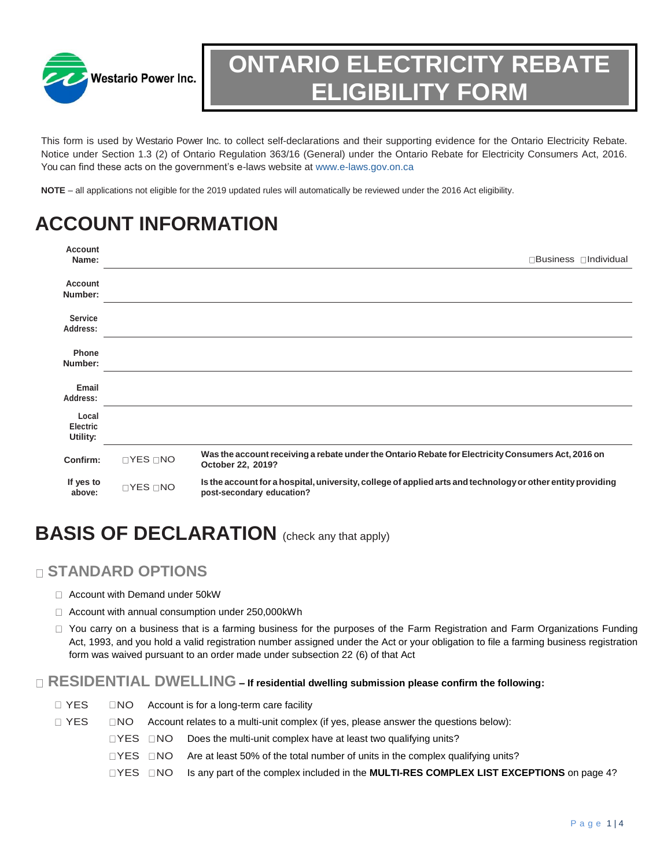

# **ONTARIO ELECTRICITY REBATE ELIGIBILITY FORM**

This form is used by Westario Power Inc. to collect self-declarations and their supporting evidence for the Ontario Electricity Rebate. Notice under Section 1.3 (2) of Ontario Regulation 363/16 (General) under the Ontario Rebate for Electricity Consumers Act, 2016. You can find these acts on the government's e-laws website at www.e-laws.gov.on.ca

**NOTE** – all applications not eligible for the 2019 updated rules will automatically be reviewed under the 2016 Act eligibility.

## **ACCOUNT INFORMATION**

| <b>Account</b><br>Name:              |                          | □Business □Individual                                                                                                                    |
|--------------------------------------|--------------------------|------------------------------------------------------------------------------------------------------------------------------------------|
| Account<br>Number:                   |                          |                                                                                                                                          |
| <b>Service</b><br>Address:           |                          |                                                                                                                                          |
| Phone<br>Number:                     |                          |                                                                                                                                          |
| Email<br>Address:                    |                          |                                                                                                                                          |
| Local<br><b>Electric</b><br>Utility: |                          |                                                                                                                                          |
| Confirm:                             | $\sqcap$ YES $\sqcap$ NO | Was the account receiving a rebate under the Ontario Rebate for Electricity Consumers Act, 2016 on<br>October 22, 2019?                  |
| If yes to<br>above:                  | <b>OYES ONO</b>          | Is the account for a hospital, university, college of applied arts and technology or other entity providing<br>post-secondary education? |

## **BASIS OF DECLARATION** (check any that apply)

### **STANDARD OPTIONS**

- □ Account with Demand under 50kW
- $\Box$  Account with annual consumption under 250,000 kWh
- $\Box$  You carry on a business that is a farming business for the purposes of the Farm Registration and Farm Organizations Funding Act, 1993, and you hold a valid registration number assigned under the Act or your obligation to file a farming business registration form was waived pursuant to an order made under subsection 22 (6) of that Act

#### **RESIDENTIAL DWELLING – If residential dwelling submission please confirm the following:**

- YES NO Account is for a long-term care facility YES NO Account relates to a multi-unit complex (if yes, please answer the questions below):
	- $\Box$ YES  $\Box$ NO Does the multi-unit complex have at least two qualifying units?
		- $IVES$   $INO$  Are at least 50% of the total number of units in the complex qualifying units?
		- □YES □NO Is any part of the complex included in the **MULTI-RES COMPLEX LIST EXCEPTIONS** on page 4?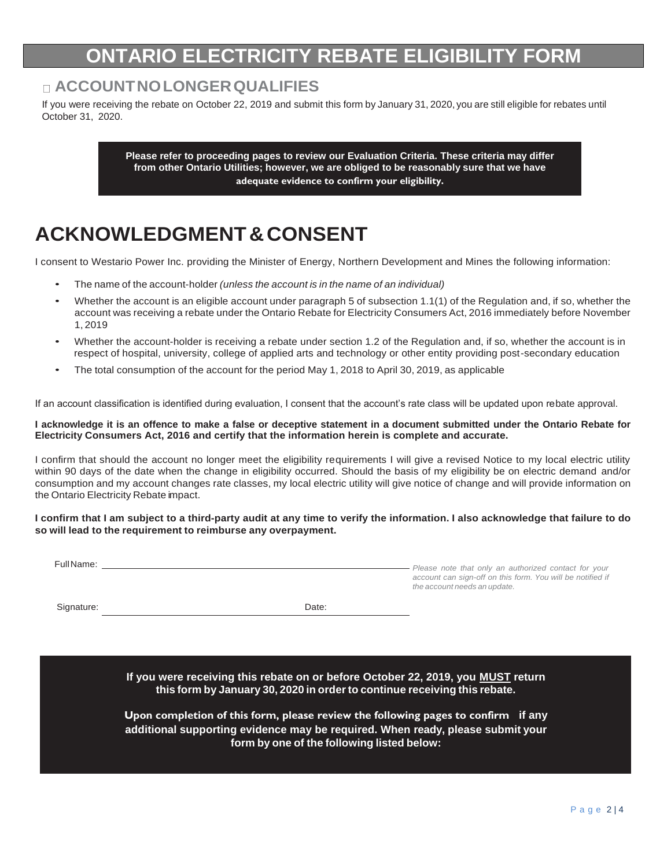### **ONTARIO ELECTRICITY REBATE ELIGIBILIT**

### **ACCOUNTNOLONGERQUALIFIES**

If you were receiving the rebate on October 22, 2019 and submit this form by January 31, 2020, you are still eligible for rebates until October 31, 2020.

> **Please refer to proceeding pages to review our Evaluation Criteria. These criteria may differ from other Ontario Utilities; however, we are obliged to be reasonably sure that we have adequate evidence to confirm your eligibility.**

### **ACKNOWLEDGMENT&CONSENT**

I consent to Westario Power Inc. providing the Minister of Energy, Northern Development and Mines the following information:

- The name of the account-holder *(unless the account is in the name of an individual)*
- Whether the account is an eligible account under paragraph 5 of subsection 1.1(1) of the Regulation and, if so, whether the account was receiving a rebate under the Ontario Rebate for Electricity Consumers Act, 2016 immediately before November 1, 2019
- Whether the account-holder is receiving a rebate under section 1.2 of the Regulation and, if so, whether the account is in respect of hospital, university, college of applied arts and technology or other entity providing post-secondary education
- The total consumption of the account for the period May 1, 2018 to April 30, 2019, as applicable

If an account classification is identified during evaluation, I consent that the account's rate class will be updated upon rebate approval.

**I acknowledge it is an offence to make a false or deceptive statement in a document submitted under the Ontario Rebate for Electricity Consumers Act, 2016 and certify that the information herein is complete and accurate.**

I confirm that should the account no longer meet the eligibility requirements I will give a revised Notice to my local electric utility within 90 days of the date when the change in eligibility occurred. Should the basis of my eligibility be on electric demand and/or consumption and my account changes rate classes, my local electric utility will give notice of change and will provide information on the Ontario Electricity Rebate impact.

I confirm that I am subject to a third-party audit at any time to verify the information. I also acknowledge that failure to do **so will lead to the requirement to reimburse any overpayment.**

| Full Name: |       | Please note that only an authorized contact for your<br>account can sign-off on this form. You will be notified if<br>the account needs an update. |
|------------|-------|----------------------------------------------------------------------------------------------------------------------------------------------------|
| Signature: | Date: |                                                                                                                                                    |

**If you were receiving this rebate on or before October 22, 2019, you MUST return this form by January 30, 2020 in orderto continue receiving this rebate.**

**Upon completion of this form, please review the following pages to confirm if any additional supporting evidence may be required. When ready, please submit your form by one of the following listed below:**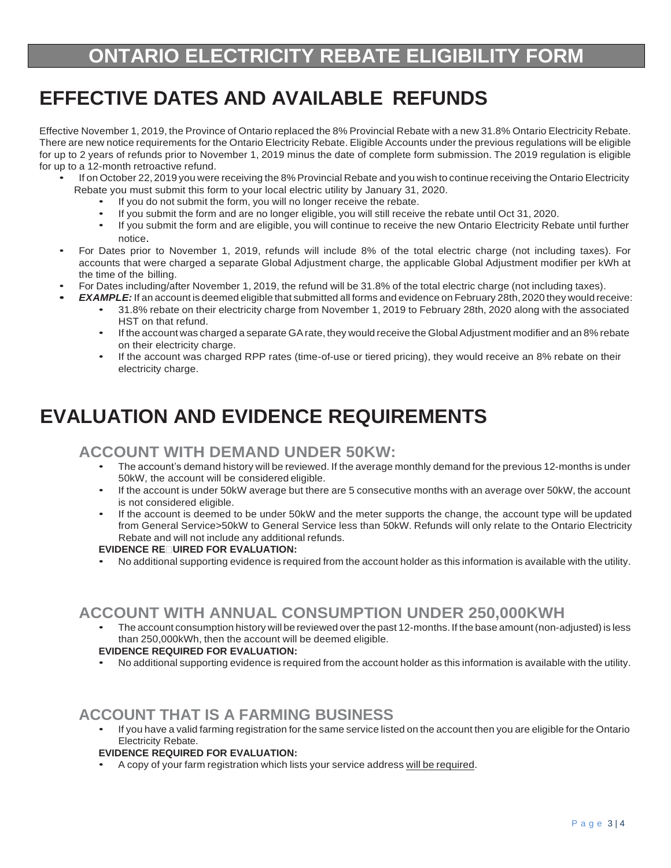## **EFFECTIVE DATES AND AVAILABLE REFUNDS**

Effective November 1, 2019, the Province of Ontario replaced the 8% Provincial Rebate with a new 31.8% Ontario Electricity Rebate. There are new notice requirements for the Ontario Electricity Rebate. Eligible Accounts under the previous regulations will be eligible for up to 2 years of refunds prior to November 1, 2019 minus the date of complete form submission. The 2019 regulation is eligible for up to a 12-month retroactive refund.

- If on October 22, 2019 you were receiving the 8% Provincial Rebate and you wish to continue receiving the Ontario Electricity Rebate you must submit this form to your local electric utility by January 31, 2020.
	- If you do not submit the form, you will no longer receive the rebate.
	- If you submit the form and are no longer eligible, you will still receive the rebate until Oct 31, 2020.
	- If you submit the form and are eligible, you will continue to receive the new Ontario Electricity Rebate until further notice.
- For Dates prior to November 1, 2019, refunds will include 8% of the total electric charge (not including taxes). For accounts that were charged a separate Global Adjustment charge, the applicable Global Adjustment modifier per kWh at the time of the billing.
- For Dates including/after November 1, 2019, the refund will be 31.8% of the total electric charge (not including taxes).
- *• EXAMPLE:* If an account is deemed eligible that submitted all forms and evidence on February 28th, 2020 they would receive:
	- 31.8% rebate on their electricity charge from November 1, 2019 to February 28th, 2020 along with the associated HST on that refund.
	- If the account was charged a separate GArate, they would receive the Global Adjustment modifier and an 8% rebate on their electricity charge.
	- If the account was charged RPP rates (time-of-use or tiered pricing), they would receive an 8% rebate on their electricity charge.

## **EVALUATION AND EVIDENCE REQUIREMENTS**

### **ACCOUNT WITH DEMAND UNDER 50KW:**

- The account's demand history will be reviewed. If the average monthly demand for the previous 12-months is under 50kW, the account will be considered eligible.
- If the account is under 50kW average but there are 5 consecutive months with an average over 50kW, the account is not considered eligible.
- If the account is deemed to be under 50kW and the meter supports the change, the account type will be updated from General Service>50kW to General Service less than 50kW. Refunds will only relate to the Ontario Electricity Rebate and will not include any additional refunds.

#### **EVIDENCE RE UIRED FOR EVALUATION:**

• No additional supporting evidence is required from the account holder as this information is available with the utility.

### **ACCOUNT WITH ANNUAL CONSUMPTION UNDER 250,000KWH**

The account consumption history will be reviewed over the past 12-months. If the base amount (non-adjusted) is less than 250,000kWh, then the account will be deemed eligible.

#### **EVIDENCE REQUIRED FOR EVALUATION:**

• No additional supporting evidence is required from the account holder as this information is available with the utility.

### **ACCOUNT THAT IS A FARMING BUSINESS**

• If you have a valid farming registration for the same service listed on the account then you are eligible for the Ontario Electricity Rebate.

#### **EVIDENCE REQUIRED FOR EVALUATION:**

• A copy of your farm registration which lists your service address will be required.